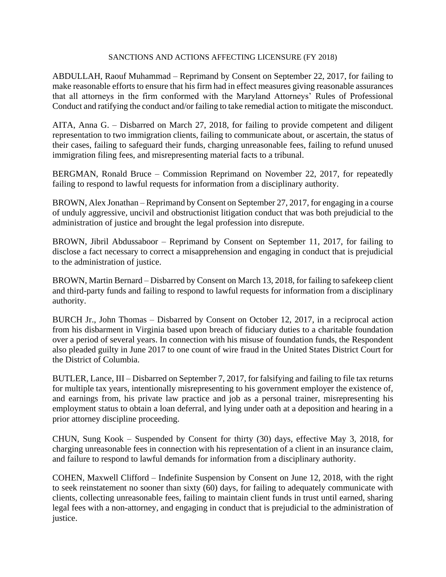## SANCTIONS AND ACTIONS AFFECTING LICENSURE (FY 2018)

ABDULLAH, Raouf Muhammad – Reprimand by Consent on September 22, 2017, for failing to make reasonable efforts to ensure that his firm had in effect measures giving reasonable assurances that all attorneys in the firm conformed with the Maryland Attorneys' Rules of Professional Conduct and ratifying the conduct and/or failing to take remedial action to mitigate the misconduct.

AITA, Anna G. – Disbarred on March 27, 2018, for failing to provide competent and diligent representation to two immigration clients, failing to communicate about, or ascertain, the status of their cases, failing to safeguard their funds, charging unreasonable fees, failing to refund unused immigration filing fees, and misrepresenting material facts to a tribunal.

BERGMAN, Ronald Bruce – Commission Reprimand on November 22, 2017, for repeatedly failing to respond to lawful requests for information from a disciplinary authority.

BROWN, Alex Jonathan – Reprimand by Consent on September 27, 2017, for engaging in a course of unduly aggressive, uncivil and obstructionist litigation conduct that was both prejudicial to the administration of justice and brought the legal profession into disrepute.

BROWN, Jibril Abdussaboor – Reprimand by Consent on September 11, 2017, for failing to disclose a fact necessary to correct a misapprehension and engaging in conduct that is prejudicial to the administration of justice.

BROWN, Martin Bernard – Disbarred by Consent on March 13, 2018, for failing to safekeep client and third-party funds and failing to respond to lawful requests for information from a disciplinary authority.

BURCH Jr., John Thomas – Disbarred by Consent on October 12, 2017, in a reciprocal action from his disbarment in Virginia based upon breach of fiduciary duties to a charitable foundation over a period of several years. In connection with his misuse of foundation funds, the Respondent also pleaded guilty in June 2017 to one count of wire fraud in the United States District Court for the District of Columbia.

BUTLER, Lance, III – Disbarred on September 7, 2017, for falsifying and failing to file tax returns for multiple tax years, intentionally misrepresenting to his government employer the existence of, and earnings from, his private law practice and job as a personal trainer, misrepresenting his employment status to obtain a loan deferral, and lying under oath at a deposition and hearing in a prior attorney discipline proceeding.

CHUN, Sung Kook – Suspended by Consent for thirty (30) days, effective May 3, 2018, for charging unreasonable fees in connection with his representation of a client in an insurance claim, and failure to respond to lawful demands for information from a disciplinary authority.

COHEN, Maxwell Clifford – Indefinite Suspension by Consent on June 12, 2018, with the right to seek reinstatement no sooner than sixty (60) days, for failing to adequately communicate with clients, collecting unreasonable fees, failing to maintain client funds in trust until earned, sharing legal fees with a non-attorney, and engaging in conduct that is prejudicial to the administration of justice.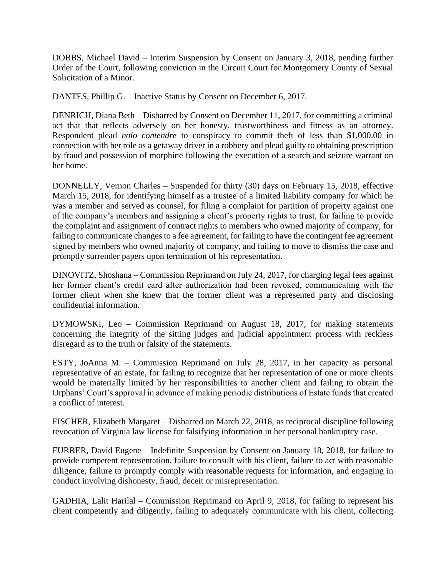DOBBS, Michael David – Interim Suspension by Consent on January 3, 2018, pending further Order of the Court, following conviction in the Circuit Court for Montgomery County of Sexual Solicitation of a Minor.

DANTES, Phillip G. – Inactive Status by Consent on December 6, 2017.

DENRICH, Diana Beth – Disbarred by Consent on December 11, 2017, for committing a criminal act that that reflects adversely on her honesty, trustworthiness and fitness as an attorney. Respondent plead *nolo contendre* to conspiracy to commit theft of less than \$1,000.00 in connection with her role as a getaway driver in a robbery and plead guilty to obtaining prescription by fraud and possession of morphine following the execution of a search and seizure warrant on her home.

DONNELLY, Vernon Charles – Suspended for thirty (30) days on February 15, 2018, effective March 15, 2018, for identifying himself as a trustee of a limited liability company for which he was a member and served as counsel, for filing a complaint for partition of property against one of the company's members and assigning a client's property rights to trust, for failing to provide the complaint and assignment of contract rights to members who owned majority of company, for failing to communicate changes to a fee agreement, for failing to have the contingent fee agreement signed by members who owned majority of company, and failing to move to dismiss the case and promptly surrender papers upon termination of his representation.

DINOVITZ, Shoshana – Commission Reprimand on July 24, 2017, for charging legal fees against her former client's credit card after authorization had been revoked, communicating with the former client when she knew that the former client was a represented party and disclosing confidential information.

DYMOWSKI, Leo – Commission Reprimand on August 18, 2017, for making statements concerning the integrity of the sitting judges and judicial appointment process with reckless disregard as to the truth or falsity of the statements.

ESTY, JoAnna M. – Commission Reprimand on July 28, 2017, in her capacity as personal representative of an estate, for failing to recognize that her representation of one or more clients would be materially limited by her responsibilities to another client and failing to obtain the Orphans' Court's approval in advance of making periodic distributions of Estate funds that created a conflict of interest.

FISCHER, Elizabeth Margaret – Disbarred on March 22, 2018, as reciprocal discipline following revocation of Virginia law license for falsifying information in her personal bankruptcy case.

FURRER, David Eugene – Indefinite Suspension by Consent on January 18, 2018, for failure to provide competent representation, failure to consult with his client, failure to act with reasonable diligence, failure to promptly comply with reasonable requests for information, and engaging in conduct involving dishonesty, fraud, deceit or misrepresentation.

GADHIA, Lalit Harilal – Commission Reprimand on April 9, 2018, for failing to represent his client competently and diligently, failing to adequately communicate with his client, collecting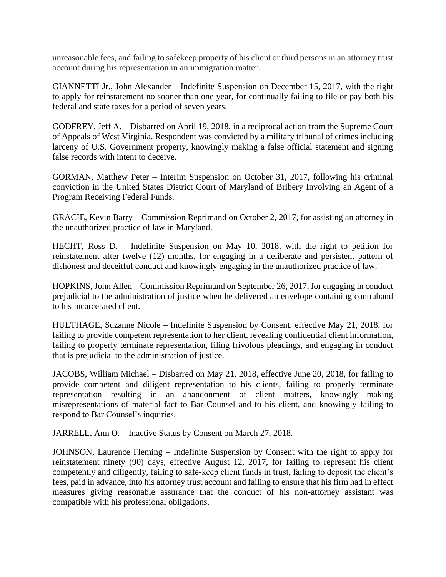unreasonable fees, and failing to safekeep property of his client or third persons in an attorney trust account during his representation in an immigration matter.

GIANNETTI Jr., John Alexander – Indefinite Suspension on December 15, 2017, with the right to apply for reinstatement no sooner than one year, for continually failing to file or pay both his federal and state taxes for a period of seven years.

GODFREY, Jeff A. – Disbarred on April 19, 2018, in a reciprocal action from the Supreme Court of Appeals of West Virginia. Respondent was convicted by a military tribunal of crimes including larceny of U.S. Government property, knowingly making a false official statement and signing false records with intent to deceive.

GORMAN, Matthew Peter – Interim Suspension on October 31, 2017, following his criminal conviction in the United States District Court of Maryland of Bribery Involving an Agent of a Program Receiving Federal Funds.

GRACIE, Kevin Barry – Commission Reprimand on October 2, 2017, for assisting an attorney in the unauthorized practice of law in Maryland.

HECHT, Ross D. – Indefinite Suspension on May 10, 2018, with the right to petition for reinstatement after twelve (12) months, for engaging in a deliberate and persistent pattern of dishonest and deceitful conduct and knowingly engaging in the unauthorized practice of law.

HOPKINS, John Allen – Commission Reprimand on September 26, 2017, for engaging in conduct prejudicial to the administration of justice when he delivered an envelope containing contraband to his incarcerated client.

HULTHAGE, Suzanne Nicole – Indefinite Suspension by Consent, effective May 21, 2018, for failing to provide competent representation to her client, revealing confidential client information, failing to properly terminate representation, filing frivolous pleadings, and engaging in conduct that is prejudicial to the administration of justice.

JACOBS, William Michael – Disbarred on May 21, 2018, effective June 20, 2018, for failing to provide competent and diligent representation to his clients, failing to properly terminate representation resulting in an abandonment of client matters, knowingly making misrepresentations of material fact to Bar Counsel and to his client, and knowingly failing to respond to Bar Counsel's inquiries.

JARRELL, Ann O. – Inactive Status by Consent on March 27, 2018.

JOHNSON, Laurence Fleming – Indefinite Suspension by Consent with the right to apply for reinstatement ninety (90) days, effective August 12, 2017, for failing to represent his client competently and diligently, failing to safe-keep client funds in trust, failing to deposit the client's fees, paid in advance, into his attorney trust account and failing to ensure that his firm had in effect measures giving reasonable assurance that the conduct of his non-attorney assistant was compatible with his professional obligations.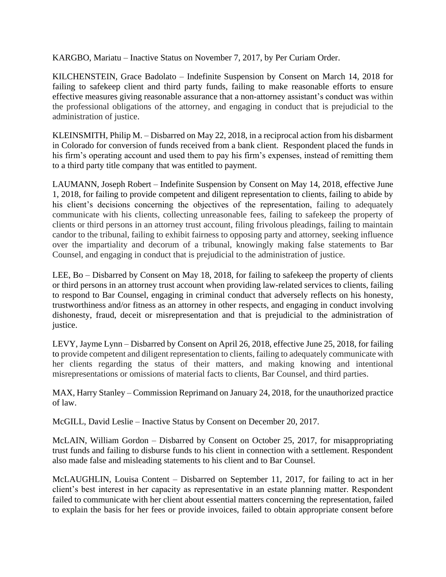KARGBO, Mariatu – Inactive Status on November 7, 2017, by Per Curiam Order.

KILCHENSTEIN, Grace Badolato – Indefinite Suspension by Consent on March 14, 2018 for failing to safekeep client and third party funds, failing to make reasonable efforts to ensure effective measures giving reasonable assurance that a non-attorney assistant's conduct was within the professional obligations of the attorney, and engaging in conduct that is prejudicial to the administration of justice.

KLEINSMITH, Philip M. – Disbarred on May 22, 2018, in a reciprocal action from his disbarment in Colorado for conversion of funds received from a bank client. Respondent placed the funds in his firm's operating account and used them to pay his firm's expenses, instead of remitting them to a third party title company that was entitled to payment.

LAUMANN, Joseph Robert – Indefinite Suspension by Consent on May 14, 2018, effective June 1, 2018, for failing to provide competent and diligent representation to clients, failing to abide by his client's decisions concerning the objectives of the representation, failing to adequately communicate with his clients, collecting unreasonable fees, failing to safekeep the property of clients or third persons in an attorney trust account, filing frivolous pleadings, failing to maintain candor to the tribunal, failing to exhibit fairness to opposing party and attorney, seeking influence over the impartiality and decorum of a tribunal, knowingly making false statements to Bar Counsel, and engaging in conduct that is prejudicial to the administration of justice.

LEE, Bo – Disbarred by Consent on May 18, 2018, for failing to safekeep the property of clients or third persons in an attorney trust account when providing law-related services to clients, failing to respond to Bar Counsel, engaging in criminal conduct that adversely reflects on his honesty, trustworthiness and/or fitness as an attorney in other respects, and engaging in conduct involving dishonesty, fraud, deceit or misrepresentation and that is prejudicial to the administration of justice.

LEVY, Jayme Lynn – Disbarred by Consent on April 26, 2018, effective June 25, 2018, for failing to provide competent and diligent representation to clients, failing to adequately communicate with her clients regarding the status of their matters, and making knowing and intentional misrepresentations or omissions of material facts to clients, Bar Counsel, and third parties.

MAX, Harry Stanley – Commission Reprimand on January 24, 2018, for the unauthorized practice of law.

McGILL, David Leslie – Inactive Status by Consent on December 20, 2017.

McLAIN, William Gordon – Disbarred by Consent on October 25, 2017, for misappropriating trust funds and failing to disburse funds to his client in connection with a settlement. Respondent also made false and misleading statements to his client and to Bar Counsel.

McLAUGHLIN, Louisa Content – Disbarred on September 11, 2017, for failing to act in her client's best interest in her capacity as representative in an estate planning matter. Respondent failed to communicate with her client about essential matters concerning the representation, failed to explain the basis for her fees or provide invoices, failed to obtain appropriate consent before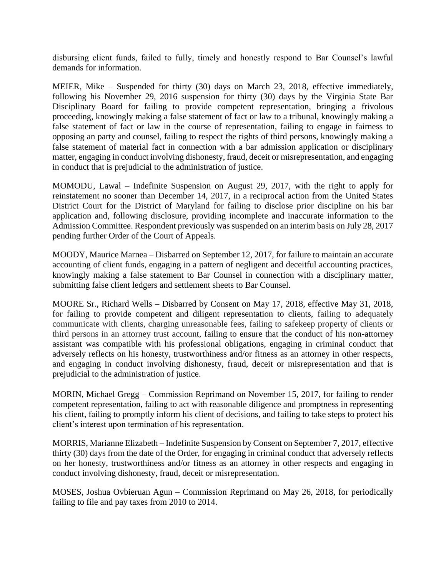disbursing client funds, failed to fully, timely and honestly respond to Bar Counsel's lawful demands for information.

MEIER, Mike – Suspended for thirty (30) days on March 23, 2018, effective immediately, following his November 29, 2016 suspension for thirty (30) days by the Virginia State Bar Disciplinary Board for failing to provide competent representation, bringing a frivolous proceeding, knowingly making a false statement of fact or law to a tribunal, knowingly making a false statement of fact or law in the course of representation, failing to engage in fairness to opposing an party and counsel, failing to respect the rights of third persons, knowingly making a false statement of material fact in connection with a bar admission application or disciplinary matter, engaging in conduct involving dishonesty, fraud, deceit or misrepresentation, and engaging in conduct that is prejudicial to the administration of justice.

MOMODU, Lawal – Indefinite Suspension on August 29, 2017, with the right to apply for reinstatement no sooner than December 14, 2017, in a reciprocal action from the United States District Court for the District of Maryland for failing to disclose prior discipline on his bar application and, following disclosure, providing incomplete and inaccurate information to the Admission Committee. Respondent previously was suspended on an interim basis on July 28, 2017 pending further Order of the Court of Appeals.

MOODY, Maurice Marnea – Disbarred on September 12, 2017, for failure to maintain an accurate accounting of client funds, engaging in a pattern of negligent and deceitful accounting practices, knowingly making a false statement to Bar Counsel in connection with a disciplinary matter, submitting false client ledgers and settlement sheets to Bar Counsel.

MOORE Sr., Richard Wells – Disbarred by Consent on May 17, 2018, effective May 31, 2018, for failing to provide competent and diligent representation to clients, failing to adequately communicate with clients, charging unreasonable fees, failing to safekeep property of clients or third persons in an attorney trust account, failing to ensure that the conduct of his non-attorney assistant was compatible with his professional obligations, engaging in criminal conduct that adversely reflects on his honesty, trustworthiness and/or fitness as an attorney in other respects, and engaging in conduct involving dishonesty, fraud, deceit or misrepresentation and that is prejudicial to the administration of justice.

MORIN, Michael Gregg – Commission Reprimand on November 15, 2017, for failing to render competent representation, failing to act with reasonable diligence and promptness in representing his client, failing to promptly inform his client of decisions, and failing to take steps to protect his client's interest upon termination of his representation.

MORRIS, Marianne Elizabeth – Indefinite Suspension by Consent on September 7, 2017, effective thirty (30) days from the date of the Order, for engaging in criminal conduct that adversely reflects on her honesty, trustworthiness and/or fitness as an attorney in other respects and engaging in conduct involving dishonesty, fraud, deceit or misrepresentation.

MOSES, Joshua Ovbieruan Agun – Commission Reprimand on May 26, 2018, for periodically failing to file and pay taxes from 2010 to 2014.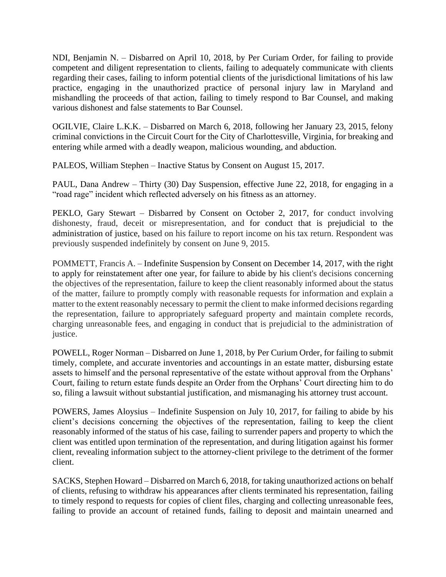NDI, Benjamin N. – Disbarred on April 10, 2018, by Per Curiam Order, for failing to provide competent and diligent representation to clients, failing to adequately communicate with clients regarding their cases, failing to inform potential clients of the jurisdictional limitations of his law practice, engaging in the unauthorized practice of personal injury law in Maryland and mishandling the proceeds of that action, failing to timely respond to Bar Counsel, and making various dishonest and false statements to Bar Counsel.

OGILVIE, Claire L.K.K. – Disbarred on March 6, 2018, following her January 23, 2015, felony criminal convictions in the Circuit Court for the City of Charlottesville, Virginia, for breaking and entering while armed with a deadly weapon, malicious wounding, and abduction.

PALEOS, William Stephen – Inactive Status by Consent on August 15, 2017.

PAUL, Dana Andrew – Thirty (30) Day Suspension, effective June 22, 2018, for engaging in a "road rage" incident which reflected adversely on his fitness as an attorney.

PEKLO, Gary Stewart – Disbarred by Consent on October 2, 2017, for conduct involving dishonesty, fraud, deceit or misrepresentation, and for conduct that is prejudicial to the administration of justice, based on his failure to report income on his tax return. Respondent was previously suspended indefinitely by consent on June 9, 2015.

POMMETT, Francis A. – Indefinite Suspension by Consent on December 14, 2017, with the right to apply for reinstatement after one year, for failure to abide by his client's decisions concerning the objectives of the representation, failure to keep the client reasonably informed about the status of the matter, failure to promptly comply with reasonable requests for information and explain a matter to the extent reasonably necessary to permit the client to make informed decisions regarding the representation, failure to appropriately safeguard property and maintain complete records, charging unreasonable fees, and engaging in conduct that is prejudicial to the administration of justice.

POWELL, Roger Norman – Disbarred on June 1, 2018, by Per Curium Order, for failing to submit timely, complete, and accurate inventories and accountings in an estate matter, disbursing estate assets to himself and the personal representative of the estate without approval from the Orphans' Court, failing to return estate funds despite an Order from the Orphans' Court directing him to do so, filing a lawsuit without substantial justification, and mismanaging his attorney trust account.

POWERS, James Aloysius – Indefinite Suspension on July 10, 2017, for failing to abide by his client's decisions concerning the objectives of the representation, failing to keep the client reasonably informed of the status of his case, failing to surrender papers and property to which the client was entitled upon termination of the representation, and during litigation against his former client, revealing information subject to the attorney-client privilege to the detriment of the former client.

SACKS, Stephen Howard – Disbarred on March 6, 2018, for taking unauthorized actions on behalf of clients, refusing to withdraw his appearances after clients terminated his representation, failing to timely respond to requests for copies of client files, charging and collecting unreasonable fees, failing to provide an account of retained funds, failing to deposit and maintain unearned and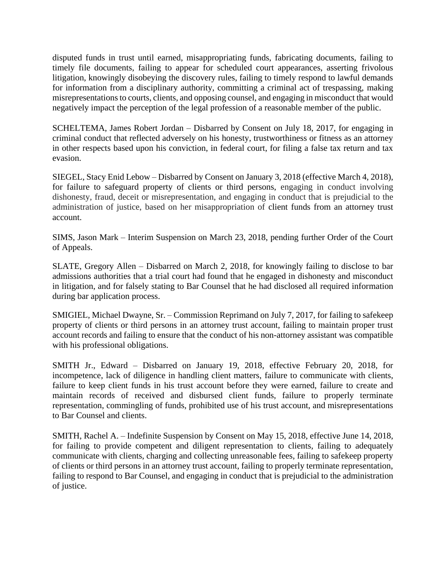disputed funds in trust until earned, misappropriating funds, fabricating documents, failing to timely file documents, failing to appear for scheduled court appearances, asserting frivolous litigation, knowingly disobeying the discovery rules, failing to timely respond to lawful demands for information from a disciplinary authority, committing a criminal act of trespassing, making misrepresentations to courts, clients, and opposing counsel, and engaging in misconduct that would negatively impact the perception of the legal profession of a reasonable member of the public.

SCHELTEMA, James Robert Jordan – Disbarred by Consent on July 18, 2017, for engaging in criminal conduct that reflected adversely on his honesty, trustworthiness or fitness as an attorney in other respects based upon his conviction, in federal court, for filing a false tax return and tax evasion.

SIEGEL, Stacy Enid Lebow – Disbarred by Consent on January 3, 2018 (effective March 4, 2018), for failure to safeguard property of clients or third persons, engaging in conduct involving dishonesty, fraud, deceit or misrepresentation, and engaging in conduct that is prejudicial to the administration of justice, based on her misappropriation of client funds from an attorney trust account.

SIMS, Jason Mark – Interim Suspension on March 23, 2018, pending further Order of the Court of Appeals.

SLATE, Gregory Allen – Disbarred on March 2, 2018, for knowingly failing to disclose to bar admissions authorities that a trial court had found that he engaged in dishonesty and misconduct in litigation, and for falsely stating to Bar Counsel that he had disclosed all required information during bar application process.

SMIGIEL, Michael Dwayne, Sr. – Commission Reprimand on July 7, 2017, for failing to safekeep property of clients or third persons in an attorney trust account, failing to maintain proper trust account records and failing to ensure that the conduct of his non-attorney assistant was compatible with his professional obligations.

SMITH Jr., Edward – Disbarred on January 19, 2018, effective February 20, 2018, for incompetence, lack of diligence in handling client matters, failure to communicate with clients, failure to keep client funds in his trust account before they were earned, failure to create and maintain records of received and disbursed client funds, failure to properly terminate representation, commingling of funds, prohibited use of his trust account, and misrepresentations to Bar Counsel and clients.

SMITH, Rachel A. – Indefinite Suspension by Consent on May 15, 2018, effective June 14, 2018, for failing to provide competent and diligent representation to clients, failing to adequately communicate with clients, charging and collecting unreasonable fees, failing to safekeep property of clients or third persons in an attorney trust account, failing to properly terminate representation, failing to respond to Bar Counsel, and engaging in conduct that is prejudicial to the administration of justice.